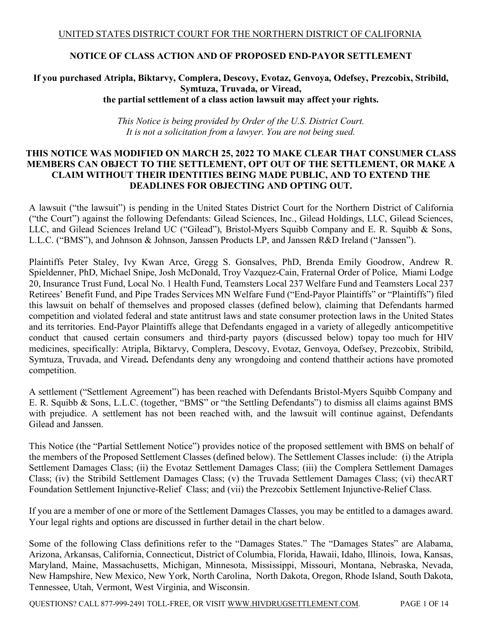### **NOTICE OF CLASS ACTION AND OF PROPOSED END-PAYOR SETTLEMENT**

### **If you purchased Atripla, Biktarvy, Complera, Descovy, Evotaz, Genvoya, Odefsey, Prezcobix, Stribild, Symtuza, Truvada, or Viread, the partial settlement of a class action lawsuit may affect your rights.**

*This Notice is being provided by Order of the U.S. District Court. It is not a solicitation from a lawyer. You are not being sued.*

### **THIS NOTICE WAS MODIFIED ON MARCH 25, 2022 TO MAKE CLEAR THAT CONSUMER CLASS MEMBERS CAN OBJECT TO THE SETTLEMENT, OPT OUT OF THE SETTLEMENT, OR MAKE A CLAIM WITHOUT THEIR IDENTITIES BEING MADE PUBLIC, AND TO EXTEND THE DEADLINES FOR OBJECTING AND OPTING OUT.**

A lawsuit ("the lawsuit") is pending in the United States District Court for the Northern District of California ("the Court") against the following Defendants: Gilead Sciences, Inc., Gilead Holdings, LLC, Gilead Sciences, LLC, and Gilead Sciences Ireland UC ("Gilead"), Bristol-Myers Squibb Company and E. R. Squibb & Sons, L.L.C. ("BMS"), and Johnson & Johnson, Janssen Products LP, and Janssen R&D Ireland ("Janssen").

Plaintiffs Peter Staley, Ivy Kwan Arce, Gregg S. Gonsalves, PhD, Brenda Emily Goodrow, Andrew R. Spieldenner, PhD, Michael Snipe, Josh McDonald, Troy Vazquez-Cain, Fraternal Order of Police, Miami Lodge 20, Insurance Trust Fund, Local No. 1 Health Fund, Teamsters Local 237 Welfare Fund and Teamsters Local 237 Retirees' Benefit Fund, and Pipe Trades Services MN Welfare Fund ("End-Payor Plaintiffs" or "Plaintiffs") filed this lawsuit on behalf of themselves and proposed classes (defined below), claiming that Defendants harmed competition and violated federal and state antitrust laws and state consumer protection laws in the United States and its territories. End-Payor Plaintiffs allege that Defendants engaged in a variety of allegedly anticompetitive conduct that caused certain consumers and third-party payors (discussed below) topay too much for HIV medicines, specifically: Atripla, Biktarvy, Complera, Descovy, Evotaz, Genvoya, Odefsey, Prezcobix, Stribild, Symtuza, Truvada, and Viread**.** Defendants deny any wrongdoing and contend thattheir actions have promoted competition.

A settlement ("Settlement Agreement") has been reached with Defendants Bristol-Myers Squibb Company and E. R. Squibb & Sons, L.L.C. (together, "BMS" or "the Settling Defendants") to dismiss all claims against BMS with prejudice. A settlement has not been reached with, and the lawsuit will continue against, Defendants Gilead and Janssen.

This Notice (the "Partial Settlement Notice") provides notice of the proposed settlement with BMS on behalf of the members of the Proposed Settlement Classes (defined below). The Settlement Classes include: (i) the Atripla Settlement Damages Class; (ii) the Evotaz Settlement Damages Class; (iii) the Complera Settlement Damages Class; (iv) the Stribild Settlement Damages Class; (v) the Truvada Settlement Damages Class; (vi) thecART Foundation Settlement Injunctive-Relief Class; and (vii) the Prezcobix Settlement Injunctive-Relief Class.

If you are a member of one or more of the Settlement Damages Classes, you may be entitled to a damages award. Your legal rights and options are discussed in further detail in the chart below.

Some of the following Class definitions refer to the "Damages States." The "Damages States" are Alabama, Arizona, Arkansas, California, Connecticut, District of Columbia, Florida, Hawaii, Idaho, Illinois, Iowa, Kansas, Maryland, Maine, Massachusetts, Michigan, Minnesota, Mississippi, Missouri, Montana, Nebraska, Nevada, New Hampshire, New Mexico, New York, North Carolina, North Dakota, Oregon, Rhode Island, South Dakota, Tennessee, Utah, Vermont, West Virginia, and Wisconsin.

QUESTIONS? CALL 877-999-2491 TOLL-FREE, OR VISIT WWW.HIVDRUGSETTLEMENT.COM. PAGE 1 OF 14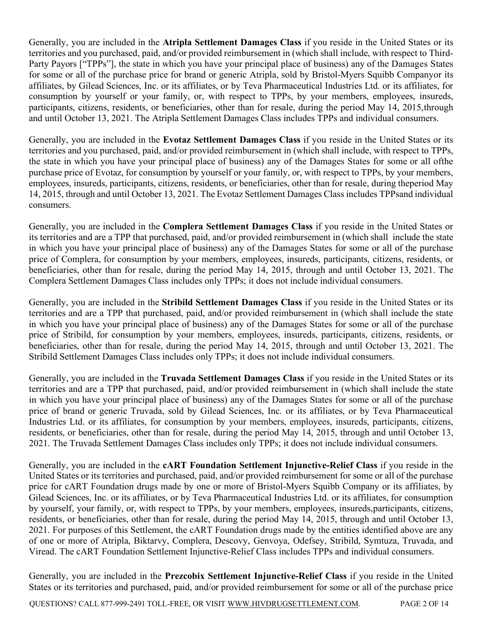Generally, you are included in the **Atripla Settlement Damages Class** if you reside in the United States or its territories and you purchased, paid, and/or provided reimbursement in (which shall include, with respect to Third-Party Payors ["TPPs"], the state in which you have your principal place of business) any of the Damages States for some or all of the purchase price for brand or generic Atripla, sold by Bristol-Myers Squibb Companyor its affiliates, by Gilead Sciences, Inc. or its affiliates, or by Teva Pharmaceutical Industries Ltd. or its affiliates, for consumption by yourself or your family, or, with respect to TPPs, by your members, employees, insureds, participants, citizens, residents, or beneficiaries, other than for resale, during the period May 14, 2015,through and until October 13, 2021. The Atripla Settlement Damages Class includes TPPs and individual consumers.

Generally, you are included in the **Evotaz Settlement Damages Class** if you reside in the United States or its territories and you purchased, paid, and/or provided reimbursement in (which shall include, with respect to TPPs, the state in which you have your principal place of business) any of the Damages States for some or all ofthe purchase price of Evotaz, for consumption by yourself or your family, or, with respect to TPPs, by your members, employees, insureds, participants, citizens, residents, or beneficiaries, other than for resale, during theperiod May 14, 2015, through and until October 13, 2021. The Evotaz Settlement Damages Class includes TPPsand individual consumers.

Generally, you are included in the **Complera Settlement Damages Class** if you reside in the United States or its territories and are a TPP that purchased, paid, and/or provided reimbursement in (which shall include the state in which you have your principal place of business) any of the Damages States for some or all of the purchase price of Complera, for consumption by your members, employees, insureds, participants, citizens, residents, or beneficiaries, other than for resale, during the period May 14, 2015, through and until October 13, 2021. The Complera Settlement Damages Class includes only TPPs; it does not include individual consumers.

Generally, you are included in the **Stribild Settlement Damages Class** if you reside in the United States or its territories and are a TPP that purchased, paid, and/or provided reimbursement in (which shall include the state in which you have your principal place of business) any of the Damages States for some or all of the purchase price of Stribild, for consumption by your members, employees, insureds, participants, citizens, residents, or beneficiaries, other than for resale, during the period May 14, 2015, through and until October 13, 2021. The Stribild Settlement Damages Class includes only TPPs; it does not include individual consumers.

Generally, you are included in the **Truvada Settlement Damages Class** if you reside in the United States or its territories and are a TPP that purchased, paid, and/or provided reimbursement in (which shall include the state in which you have your principal place of business) any of the Damages States for some or all of the purchase price of brand or generic Truvada, sold by Gilead Sciences, Inc. or its affiliates, or by Teva Pharmaceutical Industries Ltd. or its affiliates, for consumption by your members, employees, insureds, participants, citizens, residents, or beneficiaries, other than for resale, during the period May 14, 2015, through and until October 13, 2021. The Truvada Settlement Damages Class includes only TPPs; it does not include individual consumers.

Generally, you are included in the **cART Foundation Settlement Injunctive-Relief Class** if you reside in the United States or its territories and purchased, paid, and/or provided reimbursement for some or all of the purchase price for cART Foundation drugs made by one or more of Bristol-Myers Squibb Company or its affiliates, by Gilead Sciences, Inc. or its affiliates, or by Teva Pharmaceutical Industries Ltd. or its affiliates, for consumption by yourself, your family, or, with respect to TPPs, by your members, employees, insureds,participants, citizens, residents, or beneficiaries, other than for resale, during the period May 14, 2015, through and until October 13, 2021. For purposes of this Settlement, the cART Foundation drugs made by the entities identified above are any of one or more of Atripla, Biktarvy, Complera, Descovy, Genvoya, Odefsey, Stribild, Symtuza, Truvada, and Viread. The cART Foundation Settlement Injunctive-Relief Class includes TPPs and individual consumers.

Generally, you are included in the **Prezcobix Settlement Injunctive-Relief Class** if you reside in the United States or its territories and purchased, paid, and/or provided reimbursement for some or all of the purchase price

QUESTIONS? CALL 877-999-2491 TOLL-FREE, OR VISIT WWW.HIVDRUGSETTLEMENT.COM. PAGE 2 OF 14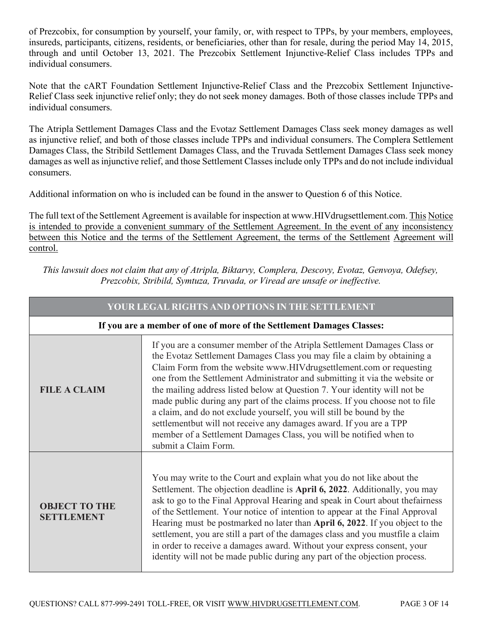of Prezcobix, for consumption by yourself, your family, or, with respect to TPPs, by your members, employees, insureds, participants, citizens, residents, or beneficiaries, other than for resale, during the period May 14, 2015, through and until October 13, 2021. The Prezcobix Settlement Injunctive-Relief Class includes TPPs and individual consumers.

Note that the cART Foundation Settlement Injunctive-Relief Class and the Prezcobix Settlement Injunctive-Relief Class seek injunctive relief only; they do not seek money damages. Both of those classes include TPPs and individual consumers.

The Atripla Settlement Damages Class and the Evotaz Settlement Damages Class seek money damages as well as injunctive relief, and both of those classes include TPPs and individual consumers. The Complera Settlement Damages Class, the Stribild Settlement Damages Class, and the Truvada Settlement Damages Class seek money damages as well as injunctive relief, and those Settlement Classes include only TPPs and do not include individual consumers.

Additional information on who is included can be found in the answer to Question 6 of this Notice.

The full text of the Settlement Agreement is available for inspection at www.HIVdrugsettlement.com. This Notice is intended to provide a convenient summary of the Settlement Agreement. In the event of any inconsistency between this Notice and the terms of the Settlement Agreement, the terms of the Settlement Agreement will control.

*This lawsuit does not claim that any of Atripla, Biktarvy, Complera, Descovy, Evotaz, Genvoya, Odefsey, Prezcobix, Stribild, Symtuza, Truvada, or Viread are unsafe or ineffective.*

| YOUR LEGAL RIGHTS AND OPTIONS IN THE SETTLEMENT                       |                                                                                                                                                                                                                                                                                                                                                                                                                                                                                                                                                                                                                                                                                                                  |  |  |  |
|-----------------------------------------------------------------------|------------------------------------------------------------------------------------------------------------------------------------------------------------------------------------------------------------------------------------------------------------------------------------------------------------------------------------------------------------------------------------------------------------------------------------------------------------------------------------------------------------------------------------------------------------------------------------------------------------------------------------------------------------------------------------------------------------------|--|--|--|
| If you are a member of one of more of the Settlement Damages Classes: |                                                                                                                                                                                                                                                                                                                                                                                                                                                                                                                                                                                                                                                                                                                  |  |  |  |
| <b>FILE A CLAIM</b>                                                   | If you are a consumer member of the Atripla Settlement Damages Class or<br>the Evotaz Settlement Damages Class you may file a claim by obtaining a<br>Claim Form from the website www.HIVdrugsettlement.com or requesting<br>one from the Settlement Administrator and submitting it via the website or<br>the mailing address listed below at Question 7. Your identity will not be<br>made public during any part of the claims process. If you choose not to file<br>a claim, and do not exclude yourself, you will still be bound by the<br>settlementbut will not receive any damages award. If you are a TPP<br>member of a Settlement Damages Class, you will be notified when to<br>submit a Claim Form. |  |  |  |
| <b>OBJECT TO THE</b><br><b>SETTLEMENT</b>                             | You may write to the Court and explain what you do not like about the<br>Settlement. The objection deadline is April 6, 2022. Additionally, you may<br>ask to go to the Final Approval Hearing and speak in Court about the fairness<br>of the Settlement. Your notice of intention to appear at the Final Approval<br>Hearing must be postmarked no later than April 6, 2022. If you object to the<br>settlement, you are still a part of the damages class and you mustfile a claim<br>in order to receive a damages award. Without your express consent, your<br>identity will not be made public during any part of the objection process.                                                                   |  |  |  |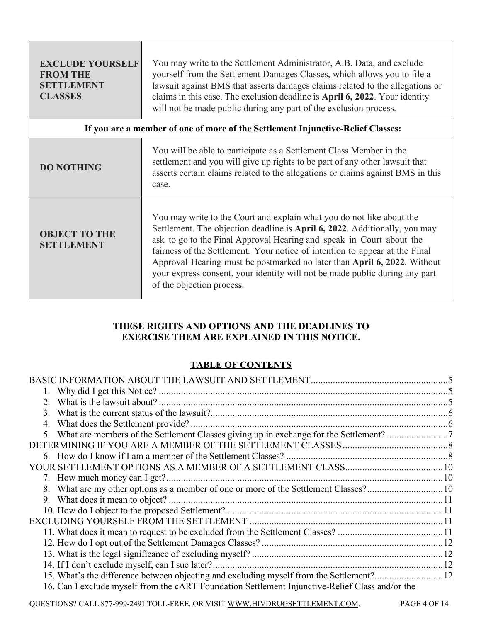| <b>EXCLUDE YOURSELF</b><br><b>FROM THE</b><br><b>SETTLEMENT</b><br><b>CLASSES</b> | You may write to the Settlement Administrator, A.B. Data, and exclude<br>yourself from the Settlement Damages Classes, which allows you to file a<br>lawsuit against BMS that asserts damages claims related to the allegations or<br>claims in this case. The exclusion deadline is April 6, 2022. Your identity<br>will not be made public during any part of the exclusion process.                                                                                                             |  |
|-----------------------------------------------------------------------------------|----------------------------------------------------------------------------------------------------------------------------------------------------------------------------------------------------------------------------------------------------------------------------------------------------------------------------------------------------------------------------------------------------------------------------------------------------------------------------------------------------|--|
| If you are a member of one of more of the Settlement Injunctive-Relief Classes:   |                                                                                                                                                                                                                                                                                                                                                                                                                                                                                                    |  |
| <b>DO NOTHING</b>                                                                 | You will be able to participate as a Settlement Class Member in the<br>settlement and you will give up rights to be part of any other lawsuit that<br>asserts certain claims related to the allegations or claims against BMS in this<br>case.                                                                                                                                                                                                                                                     |  |
| <b>OBJECT TO THE</b><br><b>SETTLEMENT</b>                                         | You may write to the Court and explain what you do not like about the<br>Settlement. The objection deadline is April 6, 2022. Additionally, you may<br>ask to go to the Final Approval Hearing and speak in Court about the<br>fairness of the Settlement. Your notice of intention to appear at the Final<br>Approval Hearing must be postmarked no later than April 6, 2022. Without<br>your express consent, your identity will not be made public during any part<br>of the objection process. |  |

# **THESE RIGHTS AND OPTIONS AND THE DEADLINES TO EXERCISE THEM ARE EXPLAINED IN THIS NOTICE.**

# **TABLE OF CONTENTS**

| 16. Can I exclude myself from the cART Foundation Settlement Injunctive-Relief Class and/or the |  |
|-------------------------------------------------------------------------------------------------|--|

QUESTIONS? CALL 877-999-2491 TOLL-FREE, OR VISIT WWW.HIVDRUGSETTLEMENT.COM. PAGE 4 OF 14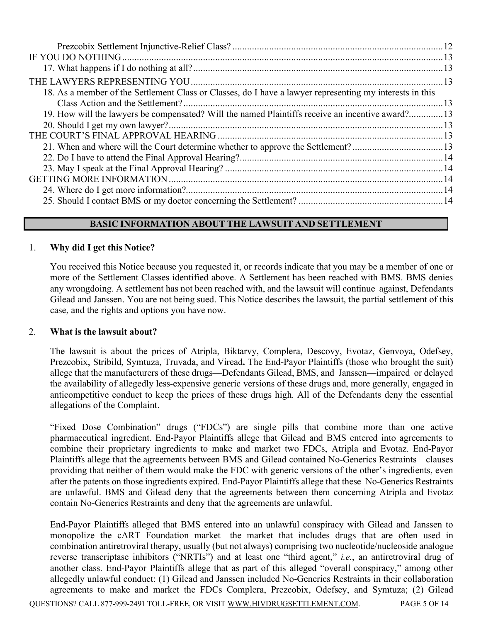| 18. As a member of the Settlement Class or Classes, do I have a lawyer representing my interests in this |  |
|----------------------------------------------------------------------------------------------------------|--|
|                                                                                                          |  |
| 19. How will the lawyers be compensated? Will the named Plaintiffs receive an incentive award?13         |  |
|                                                                                                          |  |
|                                                                                                          |  |
| 21. When and where will the Court determine whether to approve the Settlement?13                         |  |
|                                                                                                          |  |
|                                                                                                          |  |
|                                                                                                          |  |
|                                                                                                          |  |
|                                                                                                          |  |

### **BASIC INFORMATION ABOUT THE LAWSUIT AND SETTLEMENT**

### 1. **Why did I get this Notice?**

You received this Notice because you requested it, or records indicate that you may be a member of one or more of the Settlement Classes identified above. A Settlement has been reached with BMS. BMS denies any wrongdoing. A settlement has not been reached with, and the lawsuit will continue against, Defendants Gilead and Janssen. You are not being sued. This Notice describes the lawsuit, the partial settlement of this case, and the rights and options you have now.

#### 2. **What is the lawsuit about?**

The lawsuit is about the prices of Atripla, Biktarvy, Complera, Descovy, Evotaz, Genvoya, Odefsey, Prezcobix, Stribild, Symtuza, Truvada, and Viread**.** The End-Payor Plaintiffs (those who brought the suit) allege that the manufacturers of these drugs—Defendants Gilead, BMS, and Janssen—impaired or delayed the availability of allegedly less-expensive generic versions of these drugs and, more generally, engaged in anticompetitive conduct to keep the prices of these drugs high. All of the Defendants deny the essential allegations of the Complaint.

"Fixed Dose Combination" drugs ("FDCs") are single pills that combine more than one active pharmaceutical ingredient. End-Payor Plaintiffs allege that Gilead and BMS entered into agreements to combine their proprietary ingredients to make and market two FDCs, Atripla and Evotaz. End-Payor Plaintiffs allege that the agreements between BMS and Gilead contained No-Generics Restraints—clauses providing that neither of them would make the FDC with generic versions of the other's ingredients, even after the patents on those ingredients expired. End-Payor Plaintiffs allege that these No-Generics Restraints are unlawful. BMS and Gilead deny that the agreements between them concerning Atripla and Evotaz contain No-Generics Restraints and deny that the agreements are unlawful.

End-Payor Plaintiffs alleged that BMS entered into an unlawful conspiracy with Gilead and Janssen to monopolize the cART Foundation market—the market that includes drugs that are often used in combination antiretroviral therapy, usually (but not always) comprising two nucleotide/nucleoside analogue reverse transcriptase inhibitors ("NRTIs") and at least one "third agent," *i.e.*, an antiretroviral drug of another class. End-Payor Plaintiffs allege that as part of this alleged "overall conspiracy," among other allegedly unlawful conduct: (1) Gilead and Janssen included No-Generics Restraints in their collaboration agreements to make and market the FDCs Complera, Prezcobix, Odefsey, and Symtuza; (2) Gilead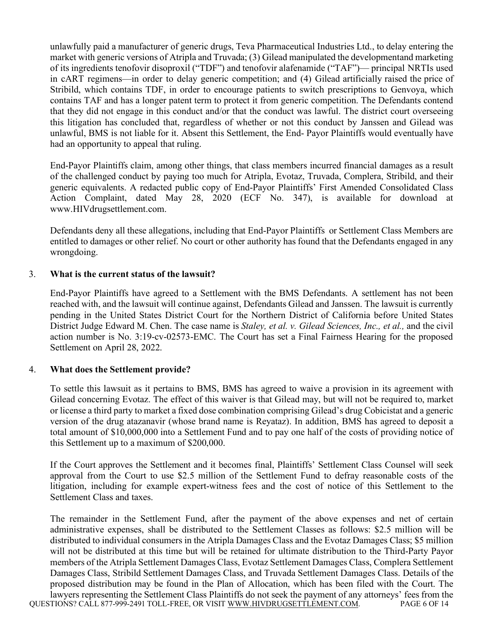unlawfully paid a manufacturer of generic drugs, Teva Pharmaceutical Industries Ltd., to delay entering the market with generic versions of Atripla and Truvada; (3) Gilead manipulated the developmentand marketing of its ingredients tenofovir disoproxil ("TDF") and tenofovir alafenamide ("TAF")— principal NRTIs used in cART regimens—in order to delay generic competition; and (4) Gilead artificially raised the price of Stribild, which contains TDF, in order to encourage patients to switch prescriptions to Genvoya, which contains TAF and has a longer patent term to protect it from generic competition. The Defendants contend that they did not engage in this conduct and/or that the conduct was lawful. The district court overseeing this litigation has concluded that, regardless of whether or not this conduct by Janssen and Gilead was unlawful, BMS is not liable for it. Absent this Settlement, the End- Payor Plaintiffs would eventually have had an opportunity to appeal that ruling.

End-Payor Plaintiffs claim, among other things, that class members incurred financial damages as a result of the challenged conduct by paying too much for Atripla, Evotaz, Truvada, Complera, Stribild, and their generic equivalents. A redacted public copy of End-Payor Plaintiffs' First Amended Consolidated Class Action Complaint, dated May 28, 2020 (ECF No. 347), is available for download at www.HIVdrugsettlement.com.

Defendants deny all these allegations, including that End-Payor Plaintiffs or Settlement Class Members are entitled to damages or other relief. No court or other authority has found that the Defendants engaged in any wrongdoing.

### 3. **What is the current status of the lawsuit?**

End-Payor Plaintiffs have agreed to a Settlement with the BMS Defendants. A settlement has not been reached with, and the lawsuit will continue against, Defendants Gilead and Janssen. The lawsuit is currently pending in the United States District Court for the Northern District of California before United States District Judge Edward M. Chen. The case name is *Staley, et al. v. Gilead Sciences, Inc., et al.,* and the civil action number is No. 3:19-cv-02573-EMC. The Court has set a Final Fairness Hearing for the proposed Settlement on April 28, 2022.

### 4. **What does the Settlement provide?**

To settle this lawsuit as it pertains to BMS, BMS has agreed to waive a provision in its agreement with Gilead concerning Evotaz. The effect of this waiver is that Gilead may, but will not be required to, market or license a third party to market a fixed dose combination comprising Gilead's drug Cobicistat and a generic version of the drug atazanavir (whose brand name is Reyataz). In addition, BMS has agreed to deposit a total amount of \$10,000,000 into a Settlement Fund and to pay one half of the costs of providing notice of this Settlement up to a maximum of \$200,000.

If the Court approves the Settlement and it becomes final, Plaintiffs' Settlement Class Counsel will seek approval from the Court to use \$2.5 million of the Settlement Fund to defray reasonable costs of the litigation, including for example expert-witness fees and the cost of notice of this Settlement to the Settlement Class and taxes.

QUESTIONS? CALL 877-999-2491 TOLL-FREE, OR VISIT WWW.HIVDRUGSETTLEMENT.COM. PAGE 6 OF 14 The remainder in the Settlement Fund, after the payment of the above expenses and net of certain administrative expenses, shall be distributed to the Settlement Classes as follows: \$2.5 million will be distributed to individual consumers in the Atripla Damages Class and the Evotaz Damages Class; \$5 million will not be distributed at this time but will be retained for ultimate distribution to the Third-Party Payor members of the Atripla Settlement Damages Class, Evotaz Settlement Damages Class, Complera Settlement Damages Class, Stribild Settlement Damages Class, and Truvada Settlement Damages Class. Details of the proposed distribution may be found in the Plan of Allocation, which has been filed with the Court. The lawyers representing the Settlement Class Plaintiffs do not seek the payment of any attorneys' fees from the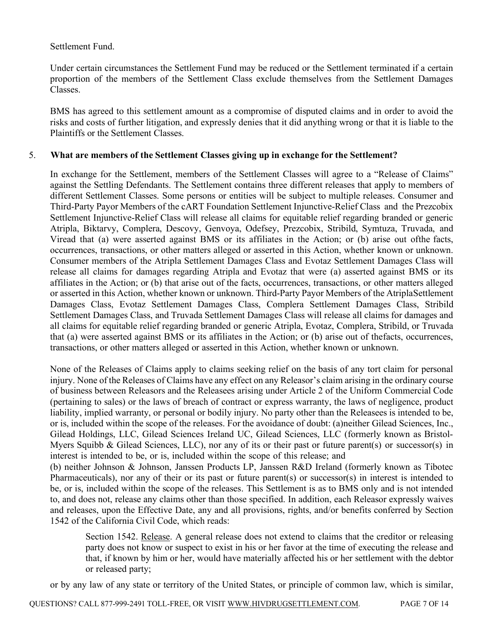### Settlement Fund.

Under certain circumstances the Settlement Fund may be reduced or the Settlement terminated if a certain proportion of the members of the Settlement Class exclude themselves from the Settlement Damages Classes.

BMS has agreed to this settlement amount as a compromise of disputed claims and in order to avoid the risks and costs of further litigation, and expressly denies that it did anything wrong or that it is liable to the Plaintiffs or the Settlement Classes.

### 5. **What are members of the Settlement Classes giving up in exchange for the Settlement?**

In exchange for the Settlement, members of the Settlement Classes will agree to a "Release of Claims" against the Settling Defendants. The Settlement contains three different releases that apply to members of different Settlement Classes. Some persons or entities will be subject to multiple releases. Consumer and Third-Party Payor Members of the cART Foundation Settlement Injunctive-Relief Class and the Prezcobix Settlement Injunctive-Relief Class will release all claims for equitable relief regarding branded or generic Atripla, Biktarvy, Complera, Descovy, Genvoya, Odefsey, Prezcobix, Stribild, Symtuza, Truvada, and Viread that (a) were asserted against BMS or its affiliates in the Action; or (b) arise out ofthe facts, occurrences, transactions, or other matters alleged or asserted in this Action, whether known or unknown. Consumer members of the Atripla Settlement Damages Class and Evotaz Settlement Damages Class will release all claims for damages regarding Atripla and Evotaz that were (a) asserted against BMS or its affiliates in the Action; or (b) that arise out of the facts, occurrences, transactions, or other matters alleged or asserted in this Action, whether known or unknown. Third-Party Payor Members of the AtriplaSettlement Damages Class, Evotaz Settlement Damages Class, Complera Settlement Damages Class, Stribild Settlement Damages Class, and Truvada Settlement Damages Class will release all claims for damages and all claims for equitable relief regarding branded or generic Atripla, Evotaz, Complera, Stribild, or Truvada that (a) were asserted against BMS or its affiliates in the Action; or (b) arise out of thefacts, occurrences, transactions, or other matters alleged or asserted in this Action, whether known or unknown.

None of the Releases of Claims apply to claims seeking relief on the basis of any tort claim for personal injury. None of the Releases of Claims have any effect on any Releasor's claim arising in the ordinary course of business between Releasors and the Releasees arising under Article 2 of the Uniform Commercial Code (pertaining to sales) or the laws of breach of contract or express warranty, the laws of negligence, product liability, implied warranty, or personal or bodily injury. No party other than the Releasees is intended to be, or is, included within the scope of the releases. For the avoidance of doubt: (a)neither Gilead Sciences, Inc., Gilead Holdings, LLC, Gilead Sciences Ireland UC, Gilead Sciences, LLC (formerly known as Bristol-Myers Squibb & Gilead Sciences, LLC), nor any of its or their past or future parent(s) or successor(s) in interest is intended to be, or is, included within the scope of this release; and

(b) neither Johnson & Johnson, Janssen Products LP, Janssen R&D Ireland (formerly known as Tibotec Pharmaceuticals), nor any of their or its past or future parent(s) or successor(s) in interest is intended to be, or is, included within the scope of the releases. This Settlement is as to BMS only and is not intended to, and does not, release any claims other than those specified. In addition, each Releasor expressly waives and releases, upon the Effective Date, any and all provisions, rights, and/or benefits conferred by Section 1542 of the California Civil Code, which reads:

Section 1542. Release. A general release does not extend to claims that the creditor or releasing party does not know or suspect to exist in his or her favor at the time of executing the release and that, if known by him or her, would have materially affected his or her settlement with the debtor or released party;

or by any law of any state or territory of the United States, or principle of common law, which is similar,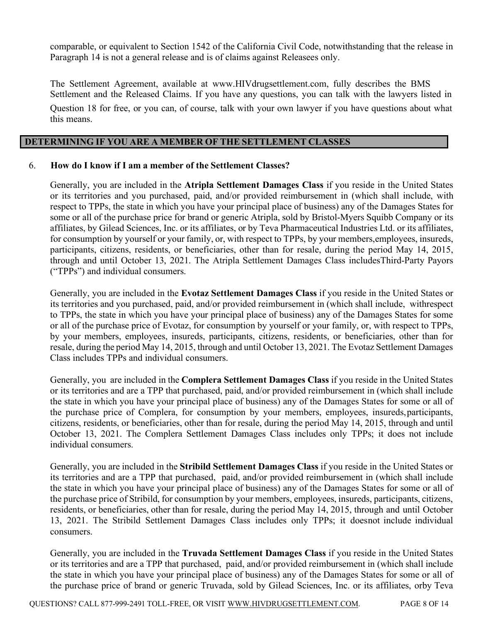comparable, or equivalent to Section 1542 of the California Civil Code, notwithstanding that the release in Paragraph 14 is not a general release and is of claims against Releasees only.

The Settlement Agreement, available at www.HIVdrugsettlement.com, fully describes the BMS Settlement and the Released Claims. If you have any questions, you can talk with the lawyers listed in Question 18 for free, or you can, of course, talk with your own lawyer if you have questions about what this means.

### **DETERMINING IF YOU ARE A MEMBER OF THE SETTLEMENT CLASSES**

### 6. **How do I know if I am a member of the Settlement Classes?**

Generally, you are included in the **Atripla Settlement Damages Class** if you reside in the United States or its territories and you purchased, paid, and/or provided reimbursement in (which shall include, with respect to TPPs, the state in which you have your principal place of business) any of the Damages States for some or all of the purchase price for brand or generic Atripla, sold by Bristol-Myers Squibb Company or its affiliates, by Gilead Sciences, Inc. or its affiliates, or by Teva Pharmaceutical Industries Ltd. or its affiliates, for consumption by yourself or your family, or, with respect to TPPs, by your members,employees, insureds, participants, citizens, residents, or beneficiaries, other than for resale, during the period May 14, 2015, through and until October 13, 2021. The Atripla Settlement Damages Class includesThird-Party Payors ("TPPs") and individual consumers.

Generally, you are included in the **Evotaz Settlement Damages Class** if you reside in the United States or its territories and you purchased, paid, and/or provided reimbursement in (which shall include, withrespect to TPPs, the state in which you have your principal place of business) any of the Damages States for some or all of the purchase price of Evotaz, for consumption by yourself or your family, or, with respect to TPPs, by your members, employees, insureds, participants, citizens, residents, or beneficiaries, other than for resale, during the period May 14, 2015, through and until October 13, 2021. The Evotaz Settlement Damages Class includes TPPs and individual consumers.

Generally, you are included in the **Complera Settlement Damages Class** if you reside in the United States or its territories and are a TPP that purchased, paid, and/or provided reimbursement in (which shall include the state in which you have your principal place of business) any of the Damages States for some or all of the purchase price of Complera, for consumption by your members, employees, insureds,participants, citizens, residents, or beneficiaries, other than for resale, during the period May 14, 2015, through and until October 13, 2021. The Complera Settlement Damages Class includes only TPPs; it does not include individual consumers.

Generally, you are included in the **Stribild Settlement Damages Class** if you reside in the United States or its territories and are a TPP that purchased, paid, and/or provided reimbursement in (which shall include the state in which you have your principal place of business) any of the Damages States for some or all of the purchase price of Stribild, for consumption by your members, employees, insureds, participants, citizens, residents, or beneficiaries, other than for resale, during the period May 14, 2015, through and until October 13, 2021. The Stribild Settlement Damages Class includes only TPPs; it doesnot include individual consumers.

Generally, you are included in the **Truvada Settlement Damages Class** if you reside in the United States or its territories and are a TPP that purchased, paid, and/or provided reimbursement in (which shall include the state in which you have your principal place of business) any of the Damages States for some or all of the purchase price of brand or generic Truvada, sold by Gilead Sciences, Inc. or its affiliates, orby Teva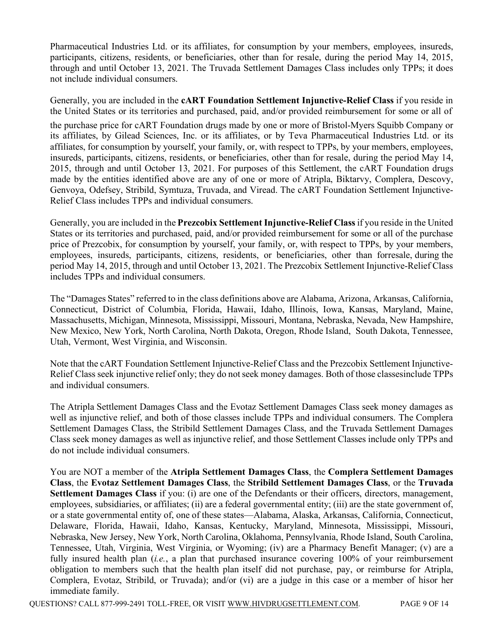Pharmaceutical Industries Ltd. or its affiliates, for consumption by your members, employees, insureds, participants, citizens, residents, or beneficiaries, other than for resale, during the period May 14, 2015, through and until October 13, 2021. The Truvada Settlement Damages Class includes only TPPs; it does not include individual consumers.

Generally, you are included in the **cART Foundation Settlement Injunctive-Relief Class** if you reside in the United States or its territories and purchased, paid, and/or provided reimbursement for some or all of

the purchase price for cART Foundation drugs made by one or more of Bristol-Myers Squibb Company or its affiliates, by Gilead Sciences, Inc. or its affiliates, or by Teva Pharmaceutical Industries Ltd. or its affiliates, for consumption by yourself, your family, or, with respect to TPPs, by your members, employees, insureds, participants, citizens, residents, or beneficiaries, other than for resale, during the period May 14, 2015, through and until October 13, 2021. For purposes of this Settlement, the cART Foundation drugs made by the entities identified above are any of one or more of Atripla, Biktarvy, Complera, Descovy, Genvoya, Odefsey, Stribild, Symtuza, Truvada, and Viread. The cART Foundation Settlement Injunctive-Relief Class includes TPPs and individual consumers.

Generally, you are included in the **Prezcobix Settlement Injunctive-Relief Class** if you reside in the United States or its territories and purchased, paid, and/or provided reimbursement for some or all of the purchase price of Prezcobix, for consumption by yourself, your family, or, with respect to TPPs, by your members, employees, insureds, participants, citizens, residents, or beneficiaries, other than forresale, during the period May 14, 2015, through and until October 13, 2021. The Prezcobix Settlement Injunctive-Relief Class includes TPPs and individual consumers.

The "Damages States" referred to in the class definitions above are Alabama, Arizona, Arkansas, California, Connecticut, District of Columbia, Florida, Hawaii, Idaho, Illinois, Iowa, Kansas, Maryland, Maine, Massachusetts, Michigan, Minnesota, Mississippi, Missouri, Montana, Nebraska, Nevada, New Hampshire, New Mexico, New York, North Carolina, North Dakota, Oregon, Rhode Island, South Dakota, Tennessee, Utah, Vermont, West Virginia, and Wisconsin.

Note that the cART Foundation Settlement Injunctive-Relief Class and the Prezcobix Settlement Injunctive-Relief Class seek injunctive relief only; they do not seek money damages. Both of those classesinclude TPPs and individual consumers.

The Atripla Settlement Damages Class and the Evotaz Settlement Damages Class seek money damages as well as injunctive relief, and both of those classes include TPPs and individual consumers. The Complera Settlement Damages Class, the Stribild Settlement Damages Class, and the Truvada Settlement Damages Class seek money damages as well as injunctive relief, and those Settlement Classes include only TPPs and do not include individual consumers.

You are NOT a member of the **Atripla Settlement Damages Class**, the **Complera Settlement Damages Class**, the **Evotaz Settlement Damages Class**, the **Stribild Settlement Damages Class**, or the **Truvada** Settlement Damages Class if you: (i) are one of the Defendants or their officers, directors, management, employees, subsidiaries, or affiliates; (ii) are a federal governmental entity; (iii) are the state government of, or a state governmental entity of, one of these states—Alabama, Alaska, Arkansas, California, Connecticut, Delaware, Florida, Hawaii, Idaho, Kansas, Kentucky, Maryland, Minnesota, Mississippi, Missouri, Nebraska, New Jersey, New York, North Carolina, Oklahoma, Pennsylvania, Rhode Island, South Carolina, Tennessee, Utah, Virginia, West Virginia, or Wyoming; (iv) are a Pharmacy Benefit Manager; (v) are a fully insured health plan *(i.e.*, a plan that purchased insurance covering 100% of your reimbursement obligation to members such that the health plan itself did not purchase, pay, or reimburse for Atripla, Complera, Evotaz, Stribild, or Truvada); and/or (vi) are a judge in this case or a member of hisor her immediate family.

QUESTIONS? CALL 877-999-2491 TOLL-FREE, OR VISIT WWW.HIVDRUGSETTLEMENT.COM. PAGE 9 OF 14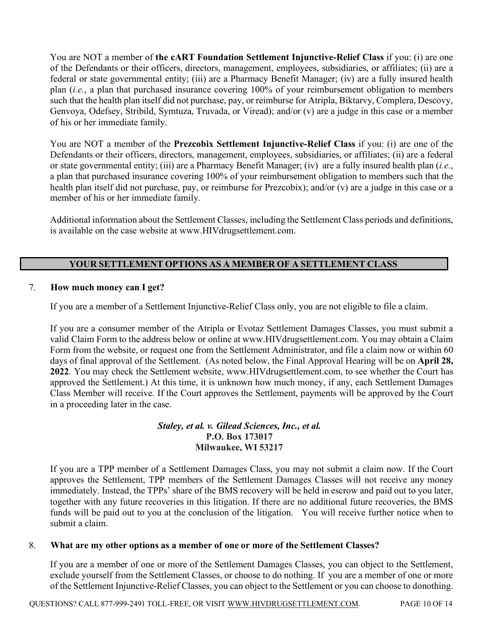You are NOT a member of **the cART Foundation Settlement Injunctive-Relief Class** if you: (i) are one of the Defendants or their officers, directors, management, employees, subsidiaries, or affiliates; (ii) are a federal or state governmental entity; (iii) are a Pharmacy Benefit Manager; (iv) are a fully insured health plan (*i.e.*, a plan that purchased insurance covering 100% of your reimbursement obligation to members such that the health plan itself did not purchase, pay, or reimburse for Atripla, Biktarvy, Complera, Descovy, Genvoya, Odefsey, Stribild, Symtuza, Truvada, or Viread); and/or (v) are a judge in this case or a member of his or her immediate family.

You are NOT a member of the **Prezcobix Settlement Injunctive-Relief Class** if you: (i) are one of the Defendants or their officers, directors, management, employees, subsidiaries, or affiliates; (ii) are a federal or state governmental entity; (iii) are a Pharmacy Benefit Manager; (iv) are a fully insured health plan (*i.e.*, a plan that purchased insurance covering 100% of your reimbursement obligation to members such that the health plan itself did not purchase, pay, or reimburse for Prezcobix); and/or (v) are a judge in this case or a member of his or her immediate family.

Additional information about the Settlement Classes, including the Settlement Class periods and definitions, is available on the case website at www.HIVdrugsettlement.com.

## **YOUR SETTLEMENT OPTIONS AS A MEMBER OF A SETTLEMENT CLASS**

### 7. **How much money can I get?**

If you are a member of a Settlement Injunctive-Relief Class only, you are not eligible to file a claim.

If you are a consumer member of the Atripla or Evotaz Settlement Damages Classes, you must submit a valid Claim Form to the address below or online at www.HIVdrugsettlement.com. You may obtain a Claim Form from the website, or request one from the Settlement Administrator, and file a claim now or within 60 days of final approval of the Settlement. (As noted below, the Final Approval Hearing will be on **April 28, 2022**. You may check the Settlement website, www.HIVdrugsettlement.com, to see whether the Court has approved the Settlement.) At this time, it is unknown how much money, if any, each Settlement Damages Class Member will receive. If the Court approves the Settlement, payments will be approved by the Court in a proceeding later in the case.

### *Staley, et al. v. Gilead Sciences, Inc., et al.* **P.O. Box 173017 Milwaukee, WI 53217**

If you are a TPP member of a Settlement Damages Class, you may not submit a claim now. If the Court approves the Settlement, TPP members of the Settlement Damages Classes will not receive any money immediately. Instead, the TPPs' share of the BMS recovery will be held in escrow and paid out to you later, together with any future recoveries in this litigation. If there are no additional future recoveries, the BMS funds will be paid out to you at the conclusion of the litigation. You will receive further notice when to submit a claim.

#### 8. **What are my other options as a member of one or more of the Settlement Classes?**

If you are a member of one or more of the Settlement Damages Classes, you can object to the Settlement, exclude yourself from the Settlement Classes, or choose to do nothing. If you are a member of one or more of the Settlement Injunctive-Relief Classes, you can object to the Settlement or you can choose to donothing.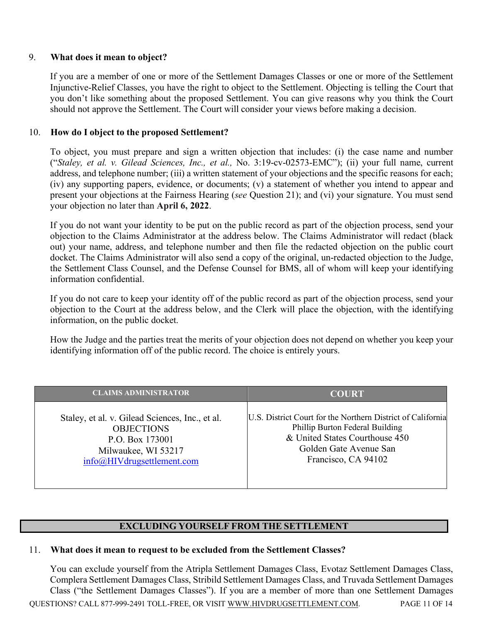#### 9. **What does it mean to object?**

If you are a member of one or more of the Settlement Damages Classes or one or more of the Settlement Injunctive-Relief Classes, you have the right to object to the Settlement. Objecting is telling the Court that you don't like something about the proposed Settlement. You can give reasons why you think the Court should not approve the Settlement. The Court will consider your views before making a decision.

### 10. **How do I object to the proposed Settlement?**

To object, you must prepare and sign a written objection that includes: (i) the case name and number ("*Staley, et al. v. Gilead Sciences, Inc., et al.,* No. 3:19-cv-02573-EMC"); (ii) your full name, current address, and telephone number; (iii) a written statement of your objections and the specific reasons for each; (iv) any supporting papers, evidence, or documents; (v) a statement of whether you intend to appear and present your objections at the Fairness Hearing (*see* Question 21); and (vi) your signature. You must send your objection no later than **April 6, 2022**.

If you do not want your identity to be put on the public record as part of the objection process, send your objection to the Claims Administrator at the address below. The Claims Administrator will redact (black out) your name, address, and telephone number and then file the redacted objection on the public court docket. The Claims Administrator will also send a copy of the original, un-redacted objection to the Judge, the Settlement Class Counsel, and the Defense Counsel for BMS, all of whom will keep your identifying information confidential.

If you do not care to keep your identity off of the public record as part of the objection process, send your objection to the Court at the address below, and the Clerk will place the objection, with the identifying information, on the public docket.

How the Judge and the parties treat the merits of your objection does not depend on whether you keep your identifying information off of the public record. The choice is entirely yours.

| <b>CLAIMS ADMINISTRATOR</b>                     | <b>COURT</b>                                                |  |
|-------------------------------------------------|-------------------------------------------------------------|--|
| Staley, et al. v. Gilead Sciences, Inc., et al. | U.S. District Court for the Northern District of California |  |
| <b>OBJECTIONS</b>                               | Phillip Burton Federal Building                             |  |
| P.O. Box 173001                                 | & United States Courthouse 450                              |  |
| Milwaukee, WI 53217                             | Golden Gate Avenue San                                      |  |
| info@HIVdrugsettlement.com                      | Francisco, CA 94102                                         |  |

### **EXCLUDING YOURSELF FROM THE SETTLEMENT**

#### 11. **What does it mean to request to be excluded from the Settlement Classes?**

QUESTIONS? CALL 877-999-2491 TOLL-FREE, OR VISIT WWW.HIVDRUGSETTLEMENT.COM. PAGE 11 OF 14 You can exclude yourself from the Atripla Settlement Damages Class, Evotaz Settlement Damages Class, Complera Settlement Damages Class, Stribild Settlement Damages Class, and Truvada Settlement Damages Class ("the Settlement Damages Classes"). If you are a member of more than one Settlement Damages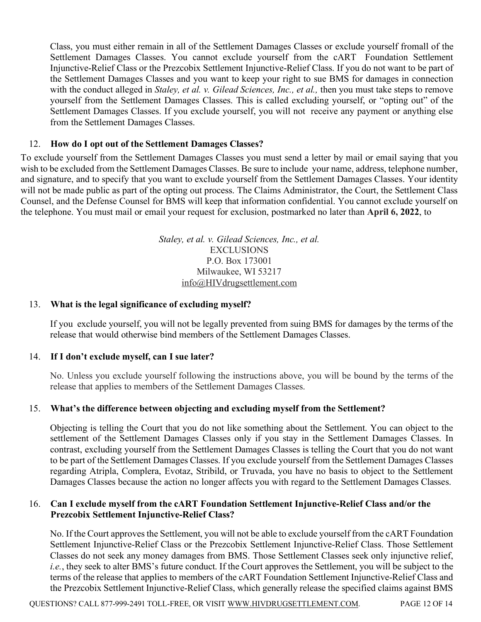Class, you must either remain in all of the Settlement Damages Classes or exclude yourself fromall of the Settlement Damages Classes. You cannot exclude yourself from the cART Foundation Settlement Injunctive-Relief Class or the Prezcobix Settlement Injunctive-Relief Class. If you do not want to be part of the Settlement Damages Classes and you want to keep your right to sue BMS for damages in connection with the conduct alleged in *Staley, et al. v. Gilead Sciences, Inc., et al.*, then you must take steps to remove yourself from the Settlement Damages Classes. This is called excluding yourself, or "opting out" of the Settlement Damages Classes. If you exclude yourself, you will not receive any payment or anything else from the Settlement Damages Classes.

### 12. **How do I opt out of the Settlement Damages Classes?**

To exclude yourself from the Settlement Damages Classes you must send a letter by mail or email saying that you wish to be excluded from the Settlement Damages Classes. Be sure to include your name, address, telephone number, and signature, and to specify that you want to exclude yourself from the Settlement Damages Classes. Your identity will not be made public as part of the opting out process. The Claims Administrator, the Court, the Settlement Class Counsel, and the Defense Counsel for BMS will keep that information confidential. You cannot exclude yourself on the telephone. You must mail or email your request for exclusion, postmarked no later than **April 6, 2022**, to

> *Staley, et al. v. Gilead Sciences, Inc., et al.* EXCLUSIONS P.O. Box 173001 Milwaukee, WI 53217 info@HIVdrugsettlement.com

### 13. **What is the legal significance of excluding myself?**

If you exclude yourself, you will not be legally prevented from suing BMS for damages by the terms of the release that would otherwise bind members of the Settlement Damages Classes.

### 14. **If I don't exclude myself, can I sue later?**

No. Unless you exclude yourself following the instructions above, you will be bound by the terms of the release that applies to members of the Settlement Damages Classes.

### 15. **What's the difference between objecting and excluding myself from the Settlement?**

Objecting is telling the Court that you do not like something about the Settlement. You can object to the settlement of the Settlement Damages Classes only if you stay in the Settlement Damages Classes. In contrast, excluding yourself from the Settlement Damages Classes is telling the Court that you do not want to be part of the Settlement Damages Classes. If you exclude yourself from the Settlement Damages Classes regarding Atripla, Complera, Evotaz, Stribild, or Truvada, you have no basis to object to the Settlement Damages Classes because the action no longer affects you with regard to the Settlement Damages Classes.

### 16. **Can I exclude myself from the cART Foundation Settlement Injunctive-Relief Class and/or the Prezcobix Settlement Injunctive-Relief Class?**

No. If the Court approves the Settlement, you will not be able to exclude yourself from the cART Foundation Settlement Injunctive-Relief Class or the Prezcobix Settlement Injunctive-Relief Class. Those Settlement Classes do not seek any money damages from BMS. Those Settlement Classes seek only injunctive relief, *i.e.*, they seek to alter BMS's future conduct. If the Court approves the Settlement, you will be subject to the terms of the release that applies to members of the cART Foundation Settlement Injunctive-Relief Class and the Prezcobix Settlement Injunctive-Relief Class, which generally release the specified claims against BMS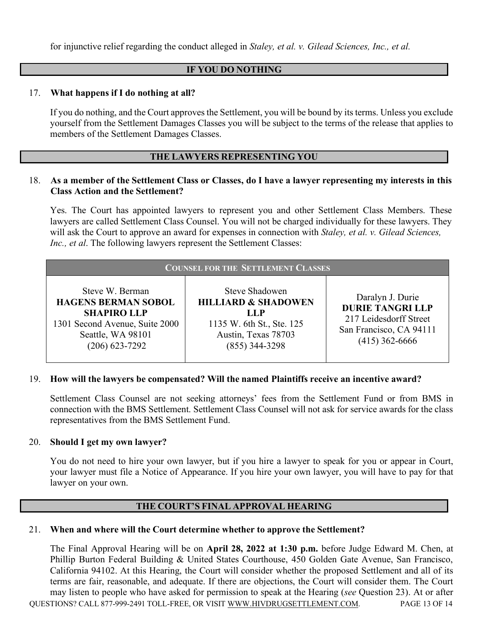for injunctive relief regarding the conduct alleged in *Staley, et al. v. Gilead Sciences, Inc., et al.*

### **IF YOU DO NOTHING**

### 17. **What happens if I do nothing at all?**

If you do nothing, and the Court approves the Settlement, you will be bound by its terms. Unless you exclude yourself from the Settlement Damages Classes you will be subject to the terms of the release that applies to members of the Settlement Damages Classes.

### **THE LAWYERS REPRESENTING YOU**

#### 18. **As a member of the Settlement Class or Classes, do I have a lawyer representing my interests in this Class Action and the Settlement?**

Yes. The Court has appointed lawyers to represent you and other Settlement Class Members. These lawyers are called Settlement Class Counsel. You will not be charged individually for these lawyers. They will ask the Court to approve an award for expenses in connection with *Staley, et al. v. Gilead Sciences, Inc., et al*. The following lawyers represent the Settlement Classes:

| <b>COUNSEL FOR THE SETTLEMENT CLASSES</b>                                                                                                      |                                                                                                                                         |                                                                                                                      |  |  |  |
|------------------------------------------------------------------------------------------------------------------------------------------------|-----------------------------------------------------------------------------------------------------------------------------------------|----------------------------------------------------------------------------------------------------------------------|--|--|--|
| Steve W. Berman<br><b>HAGENS BERMAN SOBOL</b><br><b>SHAPIRO LLP</b><br>1301 Second Avenue, Suite 2000<br>Seattle, WA 98101<br>$(206)$ 623-7292 | <b>Steve Shadowen</b><br><b>HILLIARD &amp; SHADOWEN</b><br>LL P<br>1135 W. 6th St., Ste. 125<br>Austin, Texas 78703<br>$(855)$ 344-3298 | Daralyn J. Durie<br><b>DURIE TANGRI LLP</b><br>217 Leidesdorff Street<br>San Francisco, CA 94111<br>$(415)$ 362-6666 |  |  |  |

#### 19. **How will the lawyers be compensated? Will the named Plaintiffs receive an incentive award?**

Settlement Class Counsel are not seeking attorneys' fees from the Settlement Fund or from BMS in connection with the BMS Settlement. Settlement Class Counsel will not ask for service awards for the class representatives from the BMS Settlement Fund.

#### 20. **Should I get my own lawyer?**

You do not need to hire your own lawyer, but if you hire a lawyer to speak for you or appear in Court, your lawyer must file a Notice of Appearance. If you hire your own lawyer, you will have to pay for that lawyer on your own.

### **THE COURT'S FINAL APPROVAL HEARING**

#### 21. **When and where will the Court determine whether to approve the Settlement?**

QUESTIONS? CALL 877-999-2491 TOLL-FREE, OR VISIT WWW.HIVDRUGSETTLEMENT.COM. PAGE 13 OF 14 The Final Approval Hearing will be on **April 28, 2022 at 1:30 p.m.** before Judge Edward M. Chen, at Phillip Burton Federal Building & United States Courthouse, 450 Golden Gate Avenue, San Francisco, California 94102. At this Hearing, the Court will consider whether the proposed Settlement and all of its terms are fair, reasonable, and adequate. If there are objections, the Court will consider them. The Court may listen to people who have asked for permission to speak at the Hearing (*see* Question 23). At or after